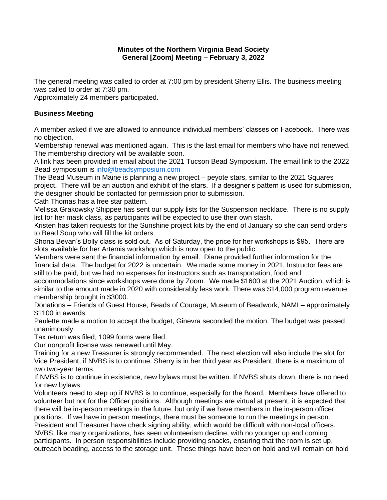## **Minutes of the Northern Virginia Bead Society General [Zoom] Meeting – February 3, 2022**

The general meeting was called to order at 7:00 pm by president Sherry Ellis. The business meeting was called to order at 7:30 pm.

Approximately 24 members participated.

## **Business Meeting**

A member asked if we are allowed to announce individual members' classes on Facebook. There was no objection.

Membership renewal was mentioned again. This is the last email for members who have not renewed. The membership directory will be available soon.

A link has been provided in email about the 2021 Tucson Bead Symposium. The email link to the 2022 Bead symposium is info@beadsymposium.com

The Bead Museum in Maine is planning a new project – peyote stars, similar to the 2021 Squares project. There will be an auction and exhibit of the stars. If a designer's pattern is used for submission, the designer should be contacted for permission prior to submission.

Cath Thomas has a free star pattern.

Melissa Grakowsky Shippee has sent our supply lists for the Suspension necklace. There is no supply list for her mask class, as participants will be expected to use their own stash.

Kristen has taken requests for the Sunshine project kits by the end of January so she can send orders to Bead Soup who will fill the kit orders.

Shona Bevan's Bolly class is sold out. As of Saturday, the price for her workshops is \$95. There are slots available for her Artemis workshop which is now open to the public.

Members were sent the financial information by email. Diane provided further information for the financial data. The budget for 2022 is uncertain. We made some money in 2021. Instructor fees are still to be paid, but we had no expenses for instructors such as transportation, food and

accommodations since workshops were done by Zoom. We made \$1600 at the 2021 Auction, which is similar to the amount made in 2020 with considerably less work. There was \$14,000 program revenue; membership brought in \$3000.

Donations – Friends of Guest House, Beads of Courage, Museum of Beadwork, NAMI – approximately \$1100 in awards.

Paulette made a motion to accept the budget, Ginevra seconded the motion. The budget was passed unanimously.

Tax return was filed; 1099 forms were filed.

Our nonprofit license was renewed until May.

Training for a new Treasurer is strongly recommended. The next election will also include the slot for Vice President, if NVBS is to continue. Sherry is in her third year as President; there is a maximum of two two-year terms.

If NVBS is to continue in existence, new bylaws must be written. If NVBS shuts down, there is no need for new bylaws.

Volunteers need to step up if NVBS is to continue, especially for the Board. Members have offered to volunteer but not for the Officer positions. Although meetings are virtual at present, it is expected that there will be in-person meetings in the future, but only if we have members in the in-person officer positions. If we have in person meetings, there must be someone to run the meetings in person. President and Treasurer have check signing ability, which would be difficult with non-local officers. NVBS, like many organizations, has seen volunteerism decline, with no younger up and coming participants. In person responsibilities include providing snacks, ensuring that the room is set up, outreach beading, access to the storage unit. These things have been on hold and will remain on hold